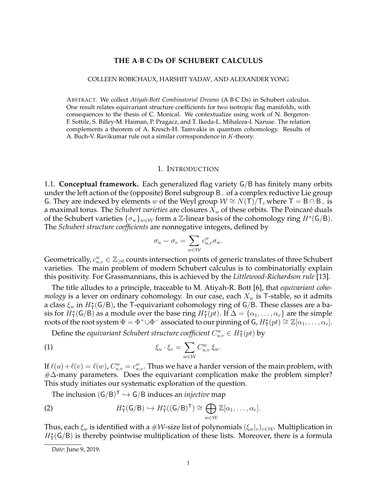## **THE A**·**B**·**C**·**Ds OF SCHUBERT CALCULUS**

#### COLLEEN ROBICHAUX, HARSHIT YADAV, AND ALEXANDER YONG

ABSTRACT. We collect *Atiyah-Bott Combinatorial Dreams* (A·B·C·Ds) in Schubert calculus. One result relates equivariant structure coefficients for two isotropic flag manifolds, with consequences to the thesis of C. Monical. We contextualize using work of N. Bergeron-F. Sottile, S. Billey-M. Haiman, P. Pragacz, and T. Ikeda-L. Mihalcea-I. Naruse. The relation complements a theorem of A. Kresch-H. Tamvakis in quantum cohomology. Results of A. Buch-V. Ravikumar rule out a similar correspondence in K-theory.

### 1. INTRODUCTION

1.1. **Conceptual framework.** Each generalized flag variety G/B has finitely many orbits under the left action of the (opposite) Borel subgroup B<sup>−</sup> of a complex reductive Lie group G. They are indexed by elements w of the Weyl group  $W \cong N(T)/T$ , where T = B ∩ B<sub>−</sub> is a maximal torus. The *Schubert varieties* are closures  $X_w$  of these orbits. The Poincaré duals of the Schubert varieties  $\{\sigma_w\}_{w\in\mathcal{W}}$  form a  $\mathbb{Z}$ -linear basis of the cohomology ring  $H^{\star}(\mathsf{G}/\mathsf{B})$ . The *Schubert structure coefficients* are nonnegative integers, defined by

$$
\sigma_u \smile \sigma_v = \sum_{w \in \mathcal{W}} c_{u,v}^w \sigma_w.
$$

Geometrically,  $c_{u,v}^w \in \mathbb{Z}_{\geq 0}$  counts intersection points of generic translates of three Schubert varieties. The main problem of modern Schubert calculus is to combinatorially explain this positivity. For Grassmannians, this is achieved by the *Littlewood-Richardson rule* [13].

The title alludes to a principle, traceable to M. Atiyah-R. Bott [6], that *equivariant cohomology* is a lever on ordinary cohomology. In our case, each  $X_w$  is T-stable, so it admits a class  $\xi_w$  in  $H^{\star}_{\mathsf{T}}(\mathsf{G}/\mathsf{B})$ , the T-equivariant cohomology ring of G/B. These classes are a basis for  $H^*_{\sf T}({\sf G}/{\sf B})$  as a module over the base ring  $H^*_{\sf T}(pt)$ . If  $\Delta = \{\alpha_1,\ldots,\alpha_r\}$  are the simple roots of the root system  $\Phi = \Phi^+ \cup \Phi^-$  associated to our pinning of  $G$ ,  $H^*_{\mathsf{T}}(pt) \cong \mathbb{Z}[\alpha_1,\ldots,\alpha_r].$ 

Define the *equivariant Schubert structure coefficient*  $C_{u,v}^w \in H^{\star}(\mathrm{pt})$  by

(1) 
$$
\xi_u \cdot \xi_v = \sum_{w \in \mathcal{W}} C_{u,v}^w \xi_w.
$$

If  $\ell(u) + \ell(v) = \ell(w)$ ,  $C_{u,v}^w = c_{u,v}^w$ . Thus we have a harder version of the main problem, with  $\#\Delta$ -many parameters. Does the equivariant complication make the problem simpler? This study initiates our systematic exploration of the question.

The inclusion  $(G/B)^{T} \hookrightarrow G/B$  induces an *injective* map

(2) 
$$
H_{\mathsf{T}}^{\star}(\mathsf{G}/\mathsf{B}) \hookrightarrow H_{\mathsf{T}}^{\star}((\mathsf{G}/\mathsf{B})^{\mathsf{T}}) \cong \bigoplus_{w \in \mathcal{W}} \mathbb{Z}[\alpha_1,\ldots,\alpha_r].
$$

Thus, each  $\xi_w$  is identified with a  $\#\mathcal{W}$ -size list of polynomials  $(\xi_w|_v)_{v\in\mathcal{W}}$ . Multiplication in  $H^{\star}_{\mathsf{T}}(\mathsf{G}/\mathsf{B})$  is thereby pointwise multiplication of these lists. Moreover, there is a formula

*Date*: June 9, 2019.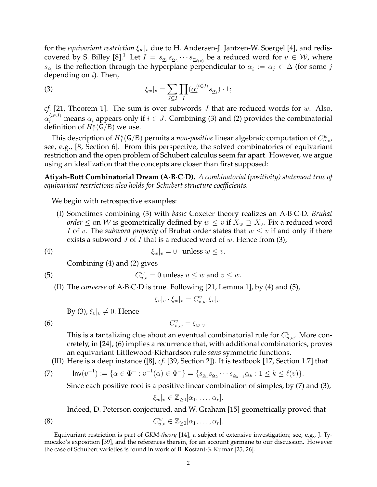for the *equivariant restriction*  $\xi_w|_v$  due to H. Andersen-J. Jantzen-W. Soergel [4], and rediscovered by S. Billey [8]. $^1$  Let  $I\,=\,s_{\underline{\alpha_1}}s_{\underline{\alpha_2}}\cdots s_{\underline{\alpha_{\ell(v)}}}$  be a reduced word for  $v\,\in\,\mathcal{W}$ , where  $s_{\underline{\alpha}_i}$  is the reflection through the hyperplane perpendicular to  $\underline{\alpha}_i := \alpha_j \in \Delta$  (for some  $j$ depending on  $i$ ). Then,

(3) 
$$
\xi_w|_v = \sum_{J \subseteq I} \prod_I (\underline{\alpha}_i^{\langle i \in J \rangle} s_{\underline{\alpha}_i}) \cdot 1;
$$

*cf.* [21, Theorem 1]. The sum is over subwords J that are reduced words for w. Also,  $\underline{\alpha}_i^{\langle i\in J\rangle}$  means  $\underline{\alpha}_i$  appears only if  $i\in J.$  Combining (3) and (2) provides the combinatorial definition of  $H^{\star}_{\mathsf{T}}(\mathsf{G}/\mathsf{B})$  we use.

This description of  $H^*_{\mathsf{T}}(\mathsf{G}/\mathsf{B})$  permits a *non-positive* linear algebraic computation of  $C^w_{u,v}$ , see, e.g., [8, Section 6]. From this perspective, the solved combinatorics of equivariant restriction and the open problem of Schubert calculus seem far apart. However, we argue using an idealization that the concepts are closer than first supposed:

**Atiyah-Bott Combinatorial Dream (A**·**B**·**C**·**D).** *A combinatorial (positivity) statement true of equivariant restrictions also holds for Schubert structure coefficients.*

We begin with retrospective examples:

(I) Sometimes combining (3) with *basic* Coxeter theory realizes an A·B·C·D. *Bruhat order*  $\leq$  on *W* is geometrically defined by  $w \leq v$  if  $X_w \supseteq X_v$ . Fix a reduced word *I* of v. The *subword property* of Bruhat order states that  $w \leq v$  if and only if there exists a subword  $J$  of  $I$  that is a reduced word of  $w$ . Hence from (3),

$$
\xi_w|_v = 0 \quad \text{unless } w \le v.
$$

Combining (4) and (2) gives

(5) 
$$
C_{u,v}^w = 0 \text{ unless } u \leq w \text{ and } v \leq w.
$$

(II) The *converse* of A·B·C·D is true. Following [21, Lemma 1], by (4) and (5),

$$
\xi_v|_v \cdot \xi_w|_v = C_{v,w}^v \xi_v|_v.
$$

 $v_{v,w}^{(v)} = \xi_w|_v.$ 

By (3),  $\xi_v|_v \neq 0$ . Hence

(6)  $C$ 

This is a tantalizing clue about an eventual combinatorial rule for 
$$
C_{u,w}^v
$$
. More con-  
cretely, in [24], (6) implies a recurrence that, with additional combinatorics, proves  
an equivariant Littlewood-Richardson rule *sans* symmetric functions.

(III) Here is a deep instance ([8], *cf.* [39, Section 2]). It is textbook [17, Section 1.7] that

(7) 
$$
\mathsf{Inv}(v^{-1}) := \{ \alpha \in \Phi^+ : v^{-1}(\alpha) \in \Phi^- \} = \{ s_{\underline{\alpha}_1} s_{\underline{\alpha}_2} \cdots s_{\underline{\alpha}_{k-1}} a_k : 1 \leq k \leq \ell(v) \}.
$$

Since each positive root is a positive linear combination of simples, by (7) and (3),

$$
\xi_w|_v \in \mathbb{Z}_{\geq 0}[\alpha_1,\ldots,\alpha_r].
$$

Indeed, D. Peterson conjectured, and W. Graham [15] geometrically proved that

(8) 
$$
C_{u,v}^w \in \mathbb{Z}_{\geq 0}[\alpha_1,\ldots,\alpha_r].
$$

<sup>1</sup>Equivariant restriction is part of *GKM-theory* [14], a subject of extensive investigation; see, e.g., J. Tymoczko's exposition [39], and the references therein, for an account germane to our discussion. However the case of Schubert varieties is found in work of B. Kostant-S. Kumar [25, 26].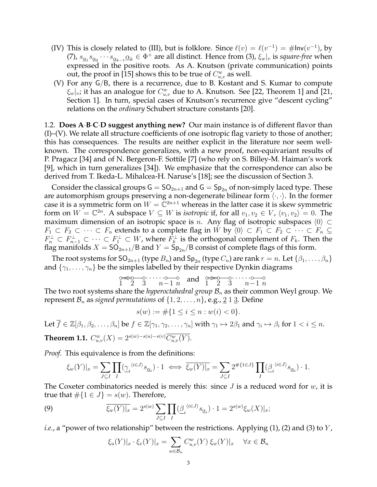- (IV) This is closely related to (III), but is folklore. Since  $\ell(v) = \ell(v^{-1}) = \# \text{Inv}(v^{-1})$ , by (7),  $s_{\underline{\alpha}_1}s_{\underline{\alpha}_2}\cdots s_{\underline{\alpha}_{k-1}}\underline{\alpha}_k\in \Phi^+$  are all distinct. Hence from (3),  $\xi_w|_v$  is *square-free* when expressed in the positive roots. As A. Knutson (private communication) points out, the proof in [15] shows this to be true of  $C^w_{u,v}$  as well.
- (V) For any G/B, there is a recurrence, due to B. Kostant and S. Kumar to compute  $\xi_w|_v$ ; it has an analogue for  $C^w_{u,v}$  due to A. Knutson. See [22, Theorem 1] and [21, Section 1]. In turn, special cases of Knutson's recurrence give "descent cycling" relations on the *ordinary* Schubert structure constants [20].

1.2. **Does A**·**B**·**C**·**D suggest anything new?** Our main instance is of different flavor than  $(I)$ –(V). We relate all structure coefficients of one isotropic flag variety to those of another; this has consequences. The results are neither explicit in the literature nor seem wellknown. The correspondence generalizes, with a new proof, non-equivariant results of P. Pragacz [34] and of N. Bergeron-F. Sottile [7] (who rely on S. Billey-M. Haiman's work [9], which in turn generalizes [34]). We emphasize that the correspondence can also be derived from T. Ikeda-L. Mihalcea-H. Naruse's [18]; see the discussion of Section 3.

Consider the classical groups  $G = SO_{2n+1}$  and  $G = Sp_{2n}$  of non-simply laced type. These are automorphism groups preserving a non-degenerate bilinear form  $\langle \cdot, \cdot \rangle$ . In the former case it is a symmetric form on  $W = \mathbb{C}^{2n+1}$  whereas in the latter case it is skew symmetric form on  $W = \mathbb{C}^{2n}$ . A subspace  $V \subseteq W$  is *isotropic* if, for all  $v_1, v_2 \in V$ ,  $\langle v_1, v_2 \rangle = 0$ . The maximum dimension of an isotropic space is *n*. Any flag of isotropic subspaces  $\langle 0 \rangle \subset$  $F_1 \subset F_2 \subset \cdots \subset F_n$  extends to a complete flag in W by  $\langle 0 \rangle \subset F_1 \subset F_2 \subset \cdots \subset F_n \subseteq$  $F_n^\perp\subset F_{n-1}^\perp\subset\cdots\subset F_1^\perp\subset W$ , where  $F_k^\perp$  is the orthogonal complement of  $F_k$ . Then the flag manifolds  $X = SO_{2n+1}/B$  and  $Y = Sp_{2n}/B$  consist of complete flags of this form.

The root systems for SO<sub>2n+1</sub> (type  $B_n$ ) and Sp<sub>2n</sub> (type  $C_n$ ) are rank  $r = n$ . Let  $\{\beta_1, \ldots, \beta_n\}$ and  $\{\gamma_1, \ldots, \gamma_n\}$  be the simples labelled by their respective Dynkin diagrams

$$
\underbrace{0 \Longleftrightarrow 0}_{1 \ 2 \ 3} \underbrace{0 \cdots 0}_{n-1 \ n} \text{ and } \underbrace{0 \Longleftrightarrow 0}_{1 \ 2 \ 3} \underbrace{0 \cdots 0}_{n-1 \ n}
$$

The two root systems share the *hyperoctahedral group*  $B_n$  as their common Weyl group. We represent  $\mathcal{B}_n$  as *signed permutations* of  $\{1, 2, \ldots, n\}$ , e.g., 2 1 3. Define

$$
s(w) := \#\{1 \le i \le n : w(i) < 0\}.
$$

Let 
$$
\overline{f} \in \mathbb{Z}[\beta_1, \beta_2, \dots, \beta_n]
$$
 be  $f \in \mathbb{Z}[\gamma_1, \gamma_2, \dots, \gamma_n]$  with  $\gamma_1 \mapsto 2\beta_1$  and  $\gamma_i \mapsto \beta_i$  for  $1 < i \leq n$ .  
Theorem 1.1.  $C_{u,v}^w(X) = 2^{s(w)-s(u)-s(v)} \overline{C_{u,v}^w(Y)}$ .

*Proof.* This equivalence is from the definitions:

$$
\xi_w(Y)|_x = \sum_{J \subseteq I} \prod_I (\underline{\gamma}_i^{\langle i \in J \rangle} s_{\underline{\alpha}_i}) \cdot 1 \iff \overline{\xi_w(Y)|_x} = \sum_{J \subseteq I} 2^{\#\{1 \in J\}} \prod_I (\underline{\beta}_i^{\langle i \in J \rangle} s_{\underline{\alpha}_i}) \cdot 1.
$$

The Coxeter combinatorics needed is merely this: since  $J$  is a reduced word for  $w$ , it is true that  $\#\{1 \in J\} = s(w)$ . Therefore,

(9) 
$$
\overline{\xi_w(Y)|_x} = 2^{s(w)} \sum_{J \subseteq I} \prod_{I} (\underline{\beta}_i^{\ \langle i \in J \rangle} s_{\underline{\alpha}_i}) \cdot 1 = 2^{s(w)} \xi_w(X)|_x;
$$

*i.e.*, a "power of two relationship" between the restrictions. Applying (1), (2) and (3) to Y,

$$
\xi_u(Y)|_x \cdot \xi_v(Y)|_x = \sum_{w \in \mathcal{B}_n} C_{u,v}^w(Y) \xi_w(Y)|_x \quad \forall x \in \mathcal{B}_n
$$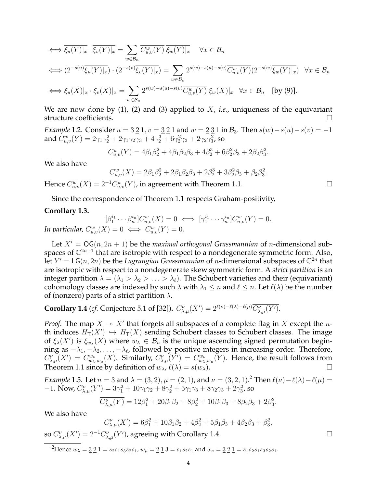$$
\iff \overline{\xi_u(Y)|_x} \cdot \overline{\xi_v(Y)|_x} = \sum_{w \in \mathcal{B}_n} \overline{C_{u,v}^w(Y)} \overline{\xi_w(Y)|_x} \quad \forall x \in \mathcal{B}_n
$$
\n
$$
\iff (2^{-s(u)}\overline{\xi_u(Y)|_x}) \cdot (2^{-s(v)}\overline{\xi_v(Y)|_x}) = \sum_{w \in \mathcal{B}_n} 2^{s(w)-s(u)-s(v)} \overline{C_{u,v}^w(Y)} (2^{-s(w)}\overline{\xi_w(Y)|_x}) \quad \forall x \in \mathcal{B}_n
$$
\n
$$
\iff \xi_u(X)|_x \cdot \xi_v(X)|_x = \sum_{w \in \mathcal{B}_n} 2^{s(w)-s(u)-s(v)} \overline{C_{u,v}^w(Y)} \xi_w(X)|_x \quad \forall x \in \mathcal{B}_n \quad \text{[by (9)].}
$$

We are now done by (1), (2) and (3) applied to X, *i.e.*, uniqueness of the equivariant structure coefficients.

*Example* 1.2*.* Consider  $u = 3 \underline{2} 1$ ,  $v = \underline{3} \underline{2} 1$  and  $w = \underline{2} \underline{3} 1$  in  $\mathcal{B}_3$ . Then  $s(w) - s(u) - s(v) = -1$ and  $\hat{C}^w_{u,v}(Y)=2\gamma_1\gamma_2^2+2\gamma_1\gamma_2\gamma_3+4\gamma_2^3+6\gamma_2^2\gamma_3+2\gamma_2\gamma_3^2$ , so

$$
\overline{C_{u,v}^w(Y)} = 4\beta_1\beta_2^2 + 4\beta_1\beta_2\beta_3 + 4\beta_2^3 + 6\beta_2^2\beta_3 + 2\beta_2\beta_3^2.
$$

We also have

$$
C_{u,v}^{w}(X) = 2\beta_1\beta_2^2 + 2\beta_1\beta_2\beta_3 + 2\beta_2^3 + 3\beta_2^2\beta_3 + \beta_2\beta_3^2.
$$

Hence  $C_{u,v}^w(X) = 2^{-1} \overline{C_{u,v}^w(Y)}$ , in agreement with Theorem 1.1.

Since the correspondence of Theorem 1.1 respects Graham-positivity,

## **Corollary 1.3.**

$$
[\beta_1^{i_1} \cdots \beta_n^{i_n}] C_{u,v}^w(X) = 0 \iff [\gamma_1^{i_1} \cdots \gamma_n^{i_n}] C_{u,v}^w(Y) = 0.
$$
  
In particular,  $C_{u,v}^w(X) = 0 \iff C_{u,v}^w(Y) = 0.$ 

Let  $X' = OG(n, 2n + 1)$  be the *maximal orthogonal Grassmannian* of *n*-dimensional subspaces of  $\mathbb{C}^{2n+1}$  that are isotropic with respect to a nondegenerate symmetric form. Also, let  $Y' = LG(n, 2n)$  be the *Lagrangian Grassmannian* of *n*-dimensional subspaces of  $\mathbb{C}^{2n}$  that are isotropic with respect to a nondegenerate skew symmetric form. A *strict partition* is an integer partition  $\lambda = (\lambda_1 > \lambda_2 > \ldots > \lambda_\ell)$ . The Schubert varieties and their (equivariant) cohomology classes are indexed by such  $\lambda$  with  $\lambda_1 \leq n$  and  $\ell \leq n$ . Let  $\ell(\lambda)$  be the number of (nonzero) parts of a strict partition  $\lambda$ .

**Corollary 1.4** (*cf.* Conjecture 5.1 of [32]).  $C^{\nu}_{\lambda,\mu}(X') = 2^{\ell(\nu) - \ell(\lambda) - \ell(\mu)} \overline{C^{\nu}_{\lambda,\mu}(Y')}$ .

*Proof.* The map  $X \rightarrow X'$  that forgets all subspaces of a complete flag in X except the nth induces  $H_T(X') \hookrightarrow H_T(X)$  sending Schubert classes to Schubert classes. The image of  $\xi_\lambda(X')$  is  $\xi_{w_\lambda}(X)$  where  $w_\lambda \in \mathcal{B}_n$  is the unique ascending signed permutation beginning as  $-\lambda_1, -\lambda_2, \ldots, -\lambda_\ell$ , followed by positive integers in increasing order. Therefore,  $C^{\nu}_{\lambda,\mu}(X') = C^{\omega_{\nu}}_{w_{\lambda},w_{\mu}}(X)$ . Similarly,  $C^{\nu}_{\lambda,\mu}(\overline{Y'}) = C^{\omega_{\nu}}_{w_{\lambda},w_{\mu}}(\overline{Y})$ . Hence, the result follows from Theorem 1.1 since by definition of  $w_{\lambda}$ ,  $\ell(\lambda) = s(w_{\lambda})$ .

*Example* 1.5. Let  $n = 3$  and  $\lambda = (3, 2), \mu = (2, 1)$ , and  $\nu = (3, 2, 1)$ .<sup>2</sup> Then  $\ell(\nu) - \ell(\lambda) - \ell(\mu) =$  $-1.$  Now,  $C_{\lambda,\mu}^{\nu}(Y') = 3\gamma_1^2 + 10\gamma_1\gamma_2 + 8\gamma_2^2 + 5\gamma_1\gamma_3 + 8\gamma_2\gamma_3 + 2\gamma_3^2$ , so

$$
\overline{C_{\lambda,\mu}^{\nu}(Y)} = 12\beta_1^2 + 20\beta_1\beta_2 + 8\beta_2^2 + 10\beta_1\beta_3 + 8\beta_2\beta_3 + 2\beta_3^2.
$$

We also have

$$
C_{\lambda,\mu}^{\nu}(X') = 6\beta_1^2 + 10\beta_1\beta_2 + 4\beta_2^2 + 5\beta_1\beta_3 + 4\beta_2\beta_3 + \beta_3^2,
$$
  

$$
C_{\lambda}^{\nu}(X')
$$
 corresponding with Corollary 1.4

so  $C^{\nu}_{\lambda,\mu}(X') = 2^{-1} \overline{C^{\nu}_{\lambda,\mu}(Y')}$ , agreeing with Corollary 1.4.

<sup>2</sup>Hence  $w_{\lambda} = 321 = s_2 s_1 s_3 s_2 s_1$ ,  $w_{\mu} = 213 = s_1 s_2 s_1$  and  $w_{\nu} = 321 = s_1 s_2 s_1 s_3 s_2 s_1$ .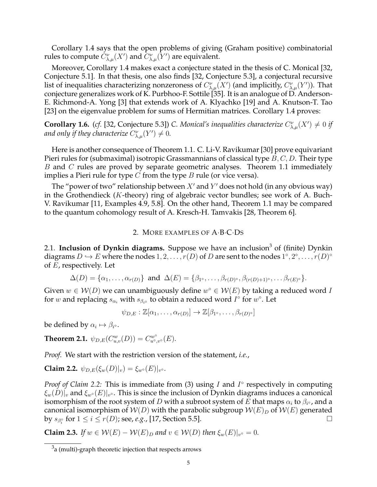Corollary 1.4 says that the open problems of giving (Graham positive) combinatorial rules to compute  $C_{\lambda,\mu}^{\nu}(X')$  and  $C_{\lambda,\mu}^{\nu}(\overline{Y}')$  are equivalent.

Moreover, Corollary 1.4 makes exact a conjecture stated in the thesis of C. Monical [32, Conjecture 5.1]. In that thesis, one also finds [32, Conjecture 5.3], a conjectural recursive list of inequalities characterizing nonzeroness of  $C_{\lambda,\mu}^{\nu}(X')$  (and implicitly,  $C_{\lambda,\mu}^{\nu}(Y')$ ). That conjecture generalizes work of K. Purbhoo-F. Sottile [35]. It is an analogue of D. Anderson-E. Richmond-A. Yong [3] that extends work of A. Klyachko [19] and A. Knutson-T. Tao [23] on the eigenvalue problem for sums of Hermitian matrices. Corollary 1.4 proves:

**Corollary 1.6.** (cf. [32, Conjecture 5.3]) *C. Monical's inequalities characterize*  $C^{\nu}_{\lambda,\mu}(X') \neq 0$  if and only if they characterize  $C_{\lambda,\mu}^{\nu}(Y^{\prime})\neq0.$ 

Here is another consequence of Theorem 1.1. C. Li-V. Ravikumar [30] prove equivariant Pieri rules for (submaximal) isotropic Grassmannians of classical type  $B, C, D$ . Their type B and C rules are proved by separate geometric analyses. Theorem 1.1 immediately implies a Pieri rule for type  $C$  from the type  $B$  rule (or vice versa).

The "power of two" relationship between  $X'$  and  $Y'$  does not hold (in any obvious way) in the Grothendieck (K-theory) ring of algebraic vector bundles; see work of A. Buch-V. Ravikumar [11, Examples 4.9, 5.8]. On the other hand, Theorem 1.1 may be compared to the quantum cohomology result of A. Kresch-H. Tamvakis [28, Theorem 6].

# 2. MORE EXAMPLES OF A·B·C·DS

2.1. Inclusion of Dynkin diagrams. Suppose we have an inclusion<sup>3</sup> of (finite) Dynkin diagrams  $D \hookrightarrow E$  where the nodes  $1, 2, \ldots, r(D)$  of  $D$  are sent to the nodes  $1^{\circ}, 2^{\circ}, \ldots, r(D)^{\circ}$ of E, respectively. Let

 $\Delta(D) = \{\alpha_1, \ldots, \alpha_{r(D)}\}$  and  $\Delta(E) = \{\beta_1, \ldots, \beta_{r(D)^{\circ}}, \beta_{(r(D)+1)^{\circ}}, \ldots \beta_{r(E)^{\circ}}\}.$ 

Given  $w \in \mathcal{W}(D)$  we can unambiguously define  $w^{\circ} \in \mathcal{W}(E)$  by taking a reduced word I for w and replacing  $s_{\alpha_i}$  with  $s_{\beta_i}$  to obtain a reduced word  $I^{\circ}$  for  $w^{\circ}$ . Let

$$
\psi_{D,E} : \mathbb{Z}[\alpha_1,\ldots,\alpha_{r(D)}] \to \mathbb{Z}[\beta_1,\ldots,\beta_{r(D)^{\circ}}]
$$

be defined by  $\alpha_i \mapsto \beta_{i^\circ}$ .

**Theorem 2.1.**  $\psi_{D,E}(C_{u,v}^w(D)) = C_{u^{\circ},v^{\circ}}^{w^{\circ}}(E)$ .

*Proof.* We start with the restriction version of the statement, *i.e.*,

**Claim 2.2.**  $\psi_{D,E}(\xi_w(D)|_v) = \xi_{w} \circ (E)|_{v} \circ$ .

*Proof of Claim 2.2:* This is immediate from (3) using *I* and *I*° respectively in computing  $\xi_w(D)|_v$  and  $\xi_{w^\circ}(E)|_{v^\circ}.$  This is since the inclusion of Dynkin diagrams induces a canonical isomorphism of the root system of  $D$  with a subroot system of  $E$  that maps  $\alpha_i$  to  $\beta_{i^\circ}$ , and a canonical isomorphism of  $W(D)$  with the parabolic subgroup  $W(E)_D$  of  $W(E)$  generated by  $s_{\beta_i^{\circ}}$  for  $1 \leq i \leq r(D)$ ; see, *e.g.*, [17, Section 5.5].

**Claim 2.3.** *If*  $w \in \mathcal{W}(E) - \mathcal{W}(E)_D$  *and*  $v \in \mathcal{W}(D)$  *then*  $\xi_w(E)|_{v^{\circ}} = 0$ *.* 

 $^3$ a (multi)-graph theoretic injection that respects arrows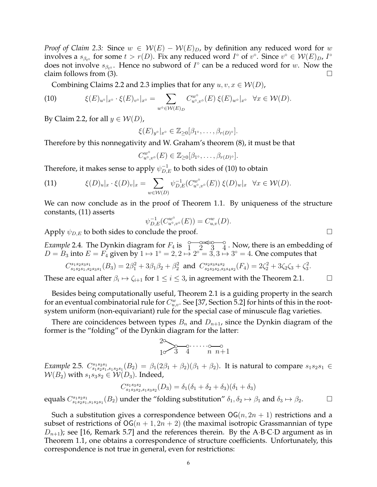*Proof of Claim 2.3:* Since  $w \in W(E) - W(E)_D$ , by definition any reduced word for w involves a  $s_{\beta_{t}^o}$  for some  $t > r(D)$ . Fix any reduced word  $I^{\circ}$  of  $v^{\circ}$ . Since  $v^{\circ} \in W(E)_{D}$ ,  $I^{\circ}$ does not involve  $s_{\beta_{t} \circ}$ . Hence no subword of  $I^{\circ}$  can be a reduced word for w. Now the claim follows from (3).  $\Box$ 

Combining Claims 2.2 and 2.3 implies that for any  $u, v, x \in \mathcal{W}(D)$ ,

(10) 
$$
\xi(E)_{u^{\circ}}|_{x^{\circ}} \cdot \xi(E)_{v^{\circ}}|_{x^{\circ}} = \sum_{w^{\circ} \in \mathcal{W}(E)_{D}} C_{u^{\circ},v^{\circ}}^{w^{\circ}}(E) \xi(E)_{w^{\circ}}|_{x^{\circ}} \quad \forall x \in \mathcal{W}(D).
$$

By Claim 2.2, for all  $y \in W(D)$ ,

$$
\xi(E)_{y^{\circ}}|_{x^{\circ}} \in \mathbb{Z}_{\geq 0}[\beta_1, \ldots, \beta_{r(D)^{\circ}}].
$$

Therefore by this nonnegativity and W. Graham's theorem (8), it must be that

$$
C_{u^{\circ},v^{\circ}}^{w^{\circ}}(E) \in \mathbb{Z}_{\geq 0}[\beta_1,\ldots,\beta_{r(D)^{\circ}}].
$$

Therefore, it makes sense to apply  $\psi_{D,E}^{-1}$  to both sides of (10) to obtain

(11) 
$$
\xi(D)_u|_x \cdot \xi(D)_v|_x = \sum_{w \in \mathcal{W}(D)} \psi_{D,E}^{-1}(C_{u^{\circ},v^{\circ}}^{w^{\circ}}(E)) \xi(D)_w|_x \quad \forall x \in \mathcal{W}(D).
$$

We can now conclude as in the proof of Theorem 1.1. By uniqueness of the structure constants, (11) asserts

$$
\psi_{D,E}^{-1}(C^{w^{\circ}}_{u^{\circ},v^{\circ}}(E)) = C^{w}_{u,v}(D).
$$

Apply  $\psi_{D,E}$  to both sides to conclude the proof.  $\Box$ 

*Example* 2.4. The Dynkin diagram for  $F_4$  is  $\frac{8}{1}$ 2  $\approx$ 3  $\frac{1}{2}$ 4  $^{\circ}_4$  . Now, there is an embedding of  $D = B_3$  into  $E = F_4$  given by  $1 \mapsto 1^\circ = 2, 2 \mapsto 2^\circ = 3, 3 \mapsto 3^\circ = 4$ . One computes that

$$
C_{s_1s_2s_1,s_2s_3s_1}^{s_1s_2s_3s_1}(B_3) = 2\beta_1^2 + 3\beta_1\beta_2 + \beta_2^2 \text{ and } C_{s_2s_3s_2,s_3s_4s_2}^{s_2s_3s_4s_2}(F_4) = 2\zeta_2^2 + 3\zeta_2\zeta_3 + \zeta_3^2.
$$

These are equal after  $\beta_i \mapsto \zeta_{i+1}$  for  $1 \leq i \leq 3$ , in agreement with the Theorem 2.1.

Besides being computationally useful, Theorem 2.1 is a guiding property in the search for an eventual combinatorial rule for  $C_{u,v}^w$ . See [37, Section 5.2] for hints of this in the rootsystem uniform (non-equivariant) rule for the special case of minuscule flag varieties.

There are coincidences between types  $B_n$  and  $D_{n+1}$ , since the Dynkin diagram of the former is the "folding" of the Dynkin diagram for the latter:

1 2◦ ◦✟✟ ❍❍ 3 ◦ 4 ◦· · · · · · n ◦ ◦ n+1

*Example* 2.5.  $C_{s_1s_2s_1,s_1s_2s_1}^{s_1s_2s_1}(B_2) = \beta_1(2\beta_1+\beta_2)(\beta_1+\beta_2)$ . It is natural to compare  $s_1s_2s_1 \in$  $W(B_2)$  with  $s_1s_3s_2 \in W(D_3)$ . Indeed,

$$
C_{s_1s_3s_2,s_1s_3s_2}^{s_1s_3s_2}(D_3) = \delta_1(\delta_1 + \delta_2 + \delta_3)(\delta_1 + \delta_3)
$$

equals  $C_{s_1s_2s_1,s_1s_2s_1}^{s_1s_2s_1}(B_2)$  under the "folding substitution"  $\delta_1, \delta_2 \mapsto \beta_1$  and  $\delta_3 \mapsto \beta_2$ .

Such a substitution gives a correspondence between  $\mathsf{OG}(n, 2n + 1)$  restrictions and a subset of restrictions of  $OG(n + 1, 2n + 2)$  (the maximal isotropic Grassmannian of type  $D_{n+1}$ ); see [16, Remark 5.7] and the references therein. By the A·B·C·D argument as in Theorem 1.1, one obtains a correspondence of structure coefficients. Unfortunately, this correspondence is not true in general, even for restrictions: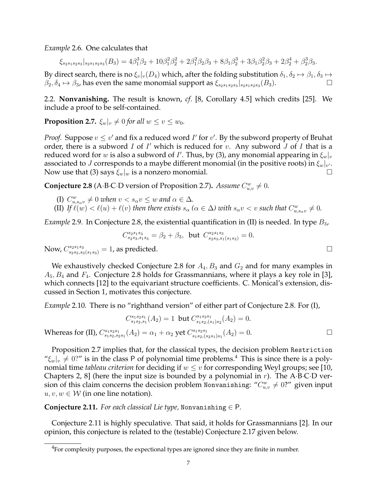*Example* 2.6*.* One calculates that

 $\xi_{s_2s_1s_2s_3}|_{s_2s_1s_2s_3}(B_3) = 4\beta_1^3\beta_2 + 10\beta_1^2\beta_2^2 + 2\beta_1^2\beta_2\beta_3 + 8\beta_1\beta_2^3 + 3\beta_1\beta_2^2\beta_3 + 2\beta_2^4 + \beta_2^3\beta_3.$ 

By direct search, there is no  $\xi_v|_v(D_4)$  which, after the folding substitution  $\delta_1, \delta_2 \mapsto \beta_1, \delta_3 \mapsto$  $\beta_2, \delta_4 \mapsto \beta_3$ , has even the same monomial support as  $\xi_{s_2s_1s_2s_3}|_{s_2s_1s_2s_3}(B_3)$ .

2.2. **Nonvanishing.** The result is known, *cf*. [8, Corollary 4.5] which credits [25]. We include a proof to be self-contained.

**Proposition 2.7.**  $\xi_w|_v \neq 0$  *for all*  $w \leq v \leq w_0$ *.* 

*Proof.* Suppose  $v \leq v'$  and fix a reduced word  $I'$  for  $v'$ . By the subword property of Bruhat order, there is a subword  $I$  of  $I'$  which is reduced for  $v$ . Any subword  $J$  of  $I$  that is a reduced word for  $w$  is also a subword of  $I'$ . Thus, by (3), any monomial appearing in  $\xi_w|_v$ associated to  $J$  corresponds to a maybe different monomial (in the positive roots) in  $\xi_w|_{v'}.$ Now use that (3) says  $\xi_w|_w$  is a nonzero monomial.

**Conjecture 2.8** (A·B·C·D version of Proposition 2.7). *Assume*  $C_{u,v}^w \neq 0$ .

(I)  $C_{u,s_\alpha v}^w \neq 0$  when  $v < s_\alpha v \leq w$  and  $\alpha \in \Delta$ *.* (II) If  $\ell(w) < \ell(u) + \ell(v)$  then there exists  $s_\alpha$  ( $\alpha \in \Delta$ ) with  $s_\alpha v < v$  such that  $C^w_{u,s_\alpha v} \neq 0$ .

*Example* 2.9. In Conjecture 2.8, the existential quantification in (II) is needed. In type  $B_3$ ,

$$
C_{s_2s_3,s_1s_3}^{s_2s_1s_3} = \beta_2 + \beta_3, \text{ but } C_{s_2s_3,s_1(s_1s_3)}^{s_2s_1s_3} = 0.
$$
  
Now,  $C_{s_2s_3,s_3(s_1s_3)}^{s_2s_1s_3} = 1$ , as predicted.

Whereas for (II)

We exhaustively checked Conjecture 2.8 for  $A_4, B_3$  and  $G_2$  and for many examples in  $A_5, B_4$  and  $F_4$ . Conjecture 2.8 holds for Grassmannians, where it plays a key role in [3], which connects [12] to the equivariant structure coefficients. C. Monical's extension, discussed in Section 1, motivates this conjecture.

*Example* 2.10*.* There is no "righthand version" of either part of Conjecture 2.8. For (I),

$$
C_{s_1s_2,s_1}^{s_1s_2s_1}(A_2) = 1 \text{ but } C_{s_1s_2,(s_1)s_2}^{s_1s_2s_1}(A_2) = 0.
$$
  
 
$$
C_{s_1s_2,s_2s_1}^{s_1s_2s_1}(A_2) = \alpha_1 + \alpha_2 \text{ yet } C_{s_1s_2,(s_2s_1)s_1}^{s_1s_2s_1}(A_2) = 0.
$$

Proposition 2.7 implies that, for the classical types, the decision problem Restriction " $\xi_w|_v \neq 0$ ?" is in the class P of polynomial time problems.<sup>4</sup> This is since there is a polynomial time *tableau criterion* for deciding if  $w \leq v$  for corresponding Weyl groups; see [10, Chapters 2, 8] (here the input size is bounded by a polynomial in  $r$ ). The A·B·C·D version of this claim concerns the decision problem Nonvanishing: " $C_{u,v}^w \neq 0$ ?" given input  $u, v, w \in \mathcal{W}$  (in one line notation).

**Conjecture 2.11.** *For each classical Lie type,* Nonvanishing  $\in$  P.

Conjecture 2.11 is highly speculative. That said, it holds for Grassmannians [2]. In our opinion, this conjecture is related to the (testable) Conjecture 2.17 given below.

 ${}^{4}$ For complexity purposes, the expectional types are ignored since they are finite in number.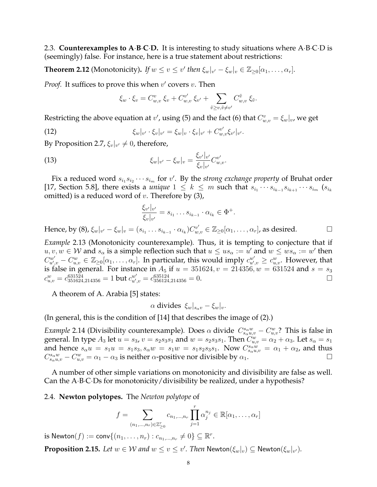2.3. **Counterexamples to A**·**B**·**C**·**D.** It is interesting to study situations where A·B·C·D is (seemingly) false. For instance, here is a true statement about restrictions:

**Theorem 2.12** (Monotonicity). *If*  $w \le v \le v'$  then  $\xi_w|_{v'} - \xi_w|_v \in \mathbb{Z}_{\ge 0}[\alpha_1, \dots, \alpha_r].$ 

*Proof.* It suffices to prove this when  $v'$  covers  $v$ . Then

$$
\xi_w \cdot \xi_v = C_{w,v}^v \xi_v + C_{w,v}^{v'} \xi_{v'} + \sum_{\tilde{v} \ge v, \tilde{v} \ne v'} C_{w,v}^{\tilde{v}} \xi_{\tilde{v}}.
$$

Restricting the above equation at  $v'$ , using (5) and the fact (6) that  $C_{w,v}^v = \xi_w|_v$ , we get

(12) 
$$
\xi_w|_{v'} \cdot \xi_v|_{v'} = \xi_w|_v \cdot \xi_v|_{v'} + C_{w,v}^{v'} \xi_{v'}|_{v'}.
$$

By Proposition 2.7,  $\xi_v|_{v'} \neq 0$ , therefore,

(13) 
$$
\xi_w|_{v'} - \xi_w|_v = \frac{\xi_{v'}|_{v'}}{\xi_v|_{v'}} C_{w,v}^{v'}.
$$

Fix a reduced word  $s_{i_1}s_{i_2}\cdots s_{i_m}$  for  $v'$ . By the *strong exchange property* of Bruhat order [17, Section 5.8], there exists a *unique*  $1 \leq k \leq m$  such that  $s_{i_1} \cdots s_{i_{k-1}} s_{i_{k+1}} \cdots s_{i_m}$  ( $s_{i_k}$ omitted) is a reduced word of  $v$ . Therefore by  $(3)$ ,

$$
\frac{\xi_{v'}|_{v'}}{\xi_v|_{v'}} = s_{i_1} \dots s_{i_{k-1}} \cdot \alpha_{i_k} \in \Phi^+.
$$

Hence, by (8),  $\xi_w|_{v'} - \xi_w|_v = (s_{i_1} \ldots s_{i_{k-1}} \cdot \alpha_{i_k}) C_{w,v}^{v'} \in \mathbb{Z}_{\geq 0}[\alpha_1, \ldots, \alpha_r]$ , as desired.

*Example* 2.13 (Monotonicity counterexample)*.* Thus, it is tempting to conjecture that if  $u, v, w \in \mathcal{W}$  and  $s_\alpha$  is a simple reflection such that  $u \leq us_\alpha := u'$  and  $w \leq ws_\alpha := w'$  then  $C_{u',v}^{w'}-C_{u,v}^w\in\mathbb{Z}_{\geq0}[\alpha_1,\ldots,\alpha_r].$  In particular, this would imply  $c_{u',v}^{w'}\geq c_{u,v}^w.$  However, that is false in general. For instance in  $A_5$  if  $u = 351624$ ,  $v = 214356$ ,  $w = 631524$  and  $s = s_3$  $c_{u,v}^w=c_{351624,214356}^{631524}=1$  but  $c_{u',v}^{w'}=c_{356124,214356}^{635124}=0.$ 

A theorem of A. Arabia [5] states:

$$
\alpha
$$
 divides  $\xi_w|_{s_\alpha v} - \xi_w|_v$ .

(In general, this is the condition of [14] that describes the image of (2).)

*Example* 2.14 (Divisibility counterexample). Does  $\alpha$  divide  $C_{s_\alpha u,v}^{s_\alpha w} - C_{u,v}^w$ ? This is false in general. In type  $A_3$  let  $u = s_3$ ,  $v = s_2s_3s_1$  and  $w = s_2s_3s_1$ . Then  $C_{u,v}^w = \alpha_2 + \alpha_3$ . Let  $s_\alpha = s_1$ and hence  $s_{\alpha}u = s_1u = s_1s_3$ ,  $s_{\alpha}w = s_1w = s_1s_2s_3s_1$ . Now  $C_{s_{\alpha}u,v}^{s_{\alpha}w} = \alpha_1 + \alpha_2$ , and thus  $C_{s_\alpha u,v}^{s_\alpha w} - C_{u,v}^w = \alpha_1 - \alpha_3$  is neither  $\alpha$ -positive nor divisible by  $\alpha_1$ .

A number of other simple variations on monotonicity and divisibility are false as well. Can the A·B·C·Ds for monotonicity/divisibility be realized, under a hypothesis?

### 2.4. **Newton polytopes.** The *Newton polytope* of

$$
f = \sum_{(n_1,\ldots,n_r)\in\mathbb{Z}_{\geq 0}^r} c_{n_1,\ldots,n_r} \prod_{j=1}^r \alpha_j^{n_j} \in \mathbb{R}[\alpha_1,\ldots,\alpha_r]
$$

is  $\mathsf{Newton}(f) := \mathsf{conv}\{(n_1,\ldots,n_r) : c_{n_1,\ldots,n_r} \neq 0\} \subseteq \mathbb{R}^r.$ 

**Proposition 2.15.** Let  $w \in W$  and  $w \leq v \leq v'$ . Then  $\mathsf{Newton}(\xi_w|_v) \subseteq \mathsf{Newton}(\xi_w|_{v'}).$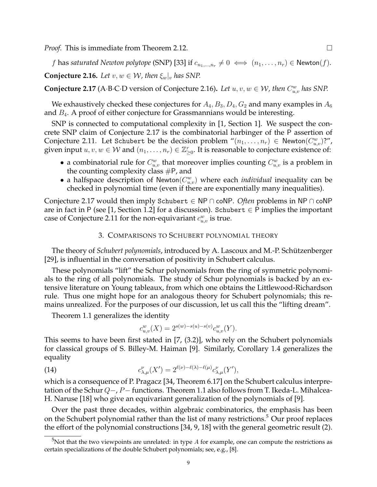*Proof.* This is immediate from Theorem 2.12. □

f has *saturated Newton polytope* (SNP) [33] if  $c_{n_1,...,n_r} \neq 0 \iff (n_1,...,n_r) \in \text{Newton}(f)$ .

**Conjecture 2.16.** *Let*  $v, w \in \mathcal{W}$ *, then*  $\xi_w|_v$  *has SNP.* 

**Conjecture 2.17** (A·B·C·D version of Conjecture 2.16). Let  $u, v, w \in W$ , then  $C_{u,v}^w$  has SNP.

We exhaustively checked these conjectures for  $A_4, B_3, D_4, G_2$  and many examples in  $A_6$ and  $B_4$ . A proof of either conjecture for Grassmannians would be interesting.

SNP is connected to computational complexity in [1, Section 1]. We suspect the concrete SNP claim of Conjecture 2.17 is the combinatorial harbinger of the P assertion of Conjecture 2.11. Let Schubert be the decision problem  $\lambda^{m}(n_1,\ldots,n_r) \in \mathsf{Newton}(C^w_{u,v})$ ?", given input  $u, v, w \in W$  and  $(n_1, \ldots, n_r) \in \mathbb{Z}_{\geq 0}^r$ . It is reasonable to conjecture existence of:

- a combinatorial rule for  $C_{u,v}^w$  that moreover implies counting  $C_{u,v}^w$  is a problem in the counting complexity class  $#P$ , and
- a halfspace description of Newton $(C_{u,v}^w)$  where each *individual* inequality can be checked in polynomial time (even if there are exponentially many inequalities).

Conjecture 2.17 would then imply Schubert ∈ NP ∩ coNP. *Often* problems in NP ∩ coNP are in fact in P (see [1, Section 1.2] for a discussion). Schubert  $\in$  P implies the important case of Conjecture 2.11 for the non-equivariant  $c_{u,v}^w$  is true.

## 3. COMPARISONS TO SCHUBERT POLYNOMIAL THEORY

The theory of *Schubert polynomials*, introduced by A. Lascoux and M.-P. Schützenberger [29], is influential in the conversation of positivity in Schubert calculus.

These polynomials "lift" the Schur polynomials from the ring of symmetric polynomials to the ring of all polynomials. The study of Schur polynomials is backed by an extensive literature on Young tableaux, from which one obtains the Littlewood-Richardson rule. Thus one might hope for an analogous theory for Schubert polynomials; this remains unrealized. For the purposes of our discussion, let us call this the "lifting dream".

Theorem 1.1 generalizes the identity

$$
c_{u,v}^w(X) = 2^{s(w) - s(u) - s(v)} c_{u,v}^w(Y).
$$

This seems to have been first stated in [7, (3.2)], who rely on the Schubert polynomials for classical groups of S. Billey-M. Haiman [9]. Similarly, Corollary 1.4 generalizes the equality

(14) 
$$
c_{\lambda,\mu}^{\nu}(X') = 2^{\ell(\nu)-\ell(\lambda)-\ell(\mu)}c_{\lambda,\mu}^{\nu}(Y'),
$$

which is a consequence of P. Pragacz [34, Theorem 6.17] on the Schubert calculus interpretation of the Schur  $Q$ −, P− functions. Theorem 1.1 also follows from T. Ikeda-L. Mihalcea-H. Naruse [18] who give an equivariant generalization of the polynomials of [9].

Over the past three decades, within algebraic combinatorics, the emphasis has been on the Schubert polynomial rather than the list of many restrictions.<sup>5</sup> Our proof replaces the effort of the polynomial constructions [34, 9, 18] with the general geometric result (2).

 $5$ Not that the two viewpoints are unrelated: in type  $A$  for example, one can compute the restrictions as certain specializations of the double Schubert polynomials; see, e.g., [8].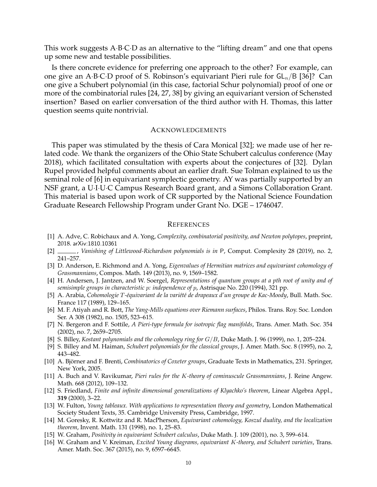This work suggests A·B·C·D as an alternative to the "lifting dream" and one that opens up some new and testable possibilities.

Is there concrete evidence for preferring one approach to the other? For example, can one give an A·B·C·D proof of S. Robinson's equivariant Pieri rule for  $GL_n/B$  [36]? Can one give a Schubert polynomial (in this case, factorial Schur polynomial) proof of one or more of the combinatorial rules [24, 27, 38] by giving an equivariant version of Schensted insertion? Based on earlier conversation of the third author with H. Thomas, this latter question seems quite nontrivial.

### ACKNOWLEDGEMENTS

This paper was stimulated by the thesis of Cara Monical [32]; we made use of her related code. We thank the organizers of the Ohio State Schubert calculus conference (May 2018), which facilitated consultation with experts about the conjectures of [32]. Dylan Rupel provided helpful comments about an earlier draft. Sue Tolman explained to us the seminal role of [6] in equivariant symplectic geometry. AY was partially supported by an NSF grant, a U·I·U·C Campus Research Board grant, and a Simons Collaboration Grant. This material is based upon work of CR supported by the National Science Foundation Graduate Research Fellowship Program under Grant No. DGE – 1746047.

#### **REFERENCES**

- [1] A. Adve, C. Robichaux and A. Yong, *Complexity, combinatorial positivity, and Newton polytopes*, preprint, 2018. arXiv:1810.10361
- [2] , *Vanishing of Littlewood-Richardson polynomials is in* P, Comput. Complexity 28 (2019), no. 2, 241–257.
- [3] D. Anderson, E. Richmond and A. Yong, *Eigenvalues of Hermitian matrices and equivariant cohomology of Grassmannians*, Compos. Math. 149 (2013), no. 9, 1569–1582.
- [4] H. Andersen, J. Jantzen, and W. Soergel, *Representations of quantum groups at a pth root of unity and of semisimple groups in characteristic* p*: independence of* p, Astrisque No. 220 (1994), 321 pp.
- [5] A. Arabia, *Cohomologie* T*-´equivariant de la vari´et´e de drapeaux d'un groupe de Kac-Moody*, Bull. Math. Soc. France 117 (1989), 129–165.
- [6] M. F. Atiyah and R. Bott, *The Yang-Mills equations over Riemann surfaces*, Philos. Trans. Roy. Soc. London Ser. A 308 (1982), no. 1505, 523–615.
- [7] N. Bergeron and F. Sottile, *A Pieri-type formula for isotropic flag manifolds*, Trans. Amer. Math. Soc. 354 (2002), no. 7, 2659–2705.
- [8] S. Billey, *Kostant polynomials and the cohomology ring for* G/B, Duke Math. J. 96 (1999), no. 1, 205–224.
- [9] S. Billey and M. Haiman, *Schubert polynomials for the classical groups*, J. Amer. Math. Soc. 8 (1995), no. 2, 443–482.
- [10] A. Björner and F. Brenti, *Combinatorics of Coxeter groups*, Graduate Texts in Mathematics, 231. Springer, New York, 2005.
- [11] A. Buch and V. Ravikumar, *Pieri rules for the* K*-theory of cominuscule Grassmannians*, J. Reine Angew. Math. 668 (2012), 109–132.
- [12] S. Friedland, *Finite and infinite dimensional generalizations of Klyachko's theorem*, Linear Algebra Appl., **319** (2000), 3–22.
- [13] W. Fulton, *Young tableaux. With applications to representation theory and geometry*, London Mathematical Society Student Texts, 35. Cambridge University Press, Cambridge, 1997.
- [14] M. Goresky, R. Kottwitz and R. MacPherson, *Equivariant cohomology, Koszul duality, and the localization theorem*, Invent. Math. 131 (1998), no. 1, 25–83.
- [15] W. Graham, *Positivity in equivariant Schubert calculus*, Duke Math. J. 109 (2001), no. 3, 599–614.
- [16] W. Graham and V. Kreiman, *Excited Young diagrams, equivariant* K*-theory, and Schubert varieties*, Trans. Amer. Math. Soc. 367 (2015), no. 9, 6597–6645.